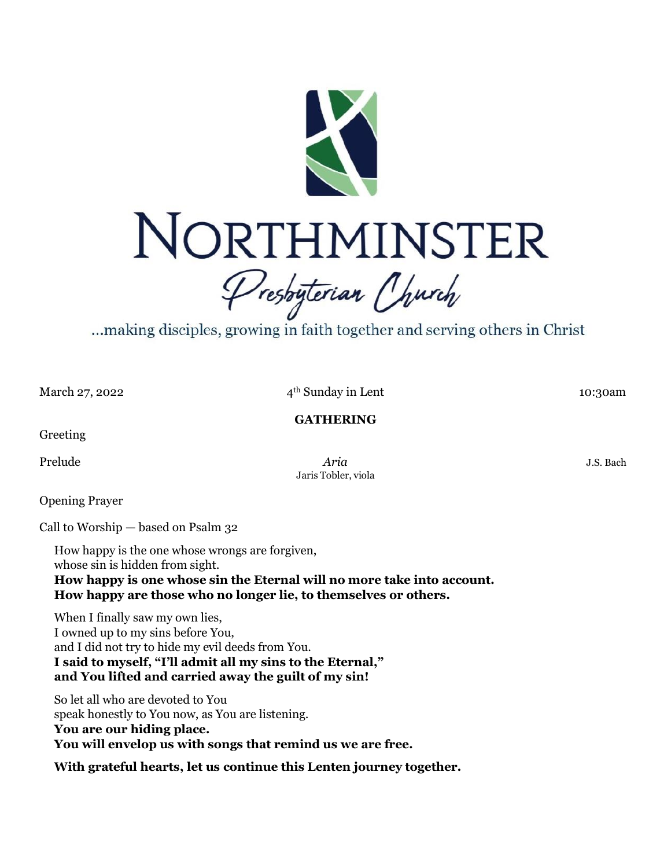

...making disciples, growing in faith together and serving others in Christ

March 27, 2022

4<sup>th</sup> Sunday in Lent 10:30am

**GATHERING**

Greeting

Prelude *J.S.* Bach Jaris Tobler, viola

Opening Prayer

Call to Worship — based on Psalm 32

How happy is the one whose wrongs are forgiven, whose sin is hidden from sight. **How happy is one whose sin the Eternal will no more take into account. How happy are those who no longer lie, to themselves or others.**

When I finally saw my own lies, I owned up to my sins before You, and I did not try to hide my evil deeds from You. **I said to myself, "I'll admit all my sins to the Eternal," and You lifted and carried away the guilt of my sin!**

So let all who are devoted to You speak honestly to You now, as You are listening. **You are our hiding place. You will envelop us with songs that remind us we are free.**

**With grateful hearts, let us continue this Lenten journey together.**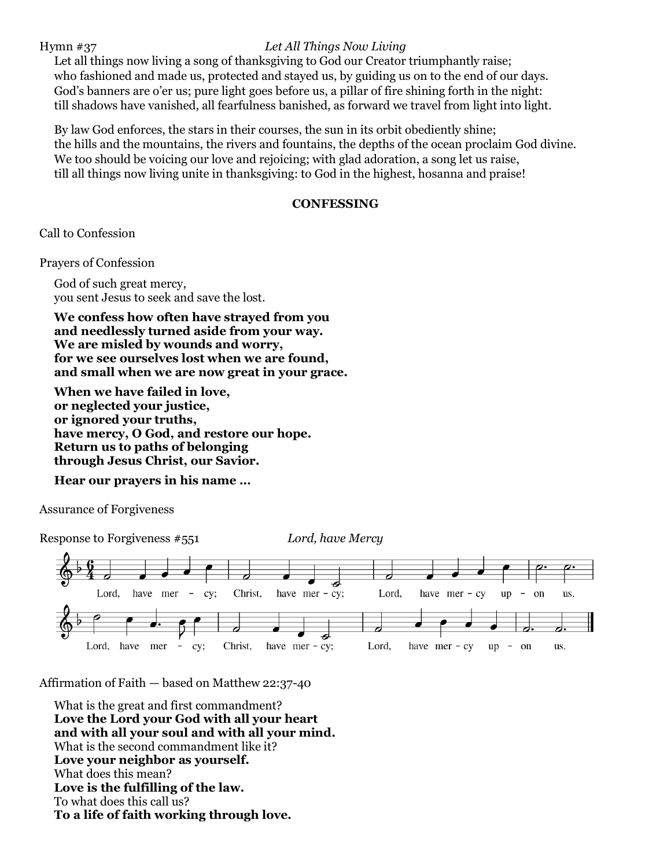## Hymn #37 *Let All Things Now Living*

Let all things now living a song of thanksgiving to God our Creator triumphantly raise; who fashioned and made us, protected and stayed us, by guiding us on to the end of our days. God's banners are o'er us; pure light goes before us, a pillar of fire shining forth in the night: till shadows have vanished, all fearfulness banished, as forward we travel from light into light.

By law God enforces, the stars in their courses, the sun in its orbit obediently shine; the hills and the mountains, the rivers and fountains, the depths of the ocean proclaim God divine. We too should be voicing our love and rejoicing; with glad adoration, a song let us raise, till all things now living unite in thanksgiving: to God in the highest, hosanna and praise!

### **CONFESSING**

Call to Confession

Prayers of Confession

God of such great mercy, you sent Jesus to seek and save the lost.

**We confess how often have strayed from you and needlessly turned aside from your way. We are misled by wounds and worry, for we see ourselves lost when we are found, and small when we are now great in your grace.**

**When we have failed in love, or neglected your justice, or ignored your truths, have mercy, O God, and restore our hope. Return us to paths of belonging through Jesus Christ, our Savior.**

# **Hear our prayers in his name …**

Assurance of Forgiveness

Response to Forgiveness #551 *Lord, have Mercy*



Affirmation of Faith — based on Matthew 22:37-40

What is the great and first commandment? **Love the Lord your God with all your heart and with all your soul and with all your mind.** What is the second commandment like it? **Love your neighbor as yourself.** What does this mean? **Love is the fulfilling of the law.** To what does this call us? **To a life of faith working through love.**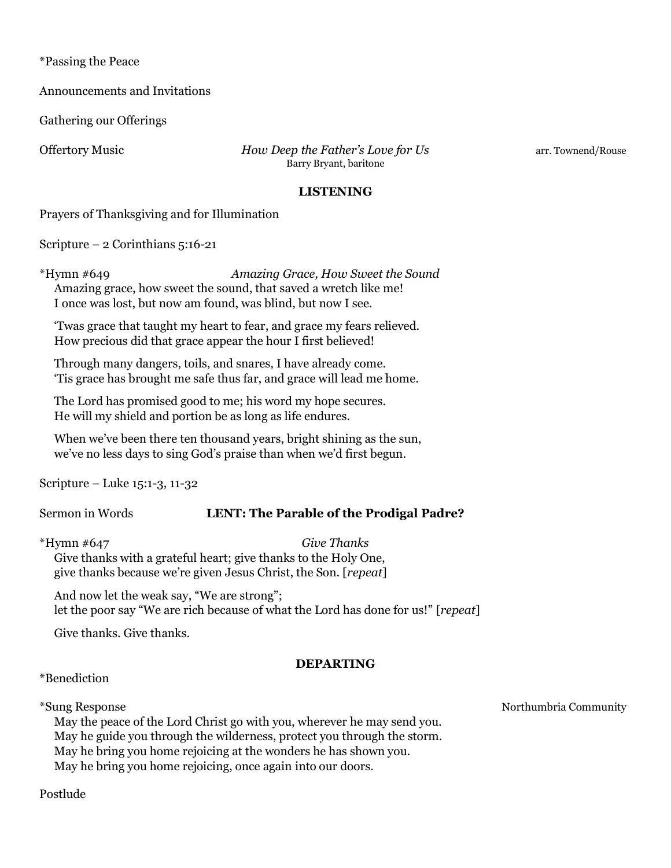\*Passing the Peace

Announcements and Invitations

Gathering our Offerings

Offertory Music *How Deep the Father's Love for Us* arr. Townend/Rouse Barry Bryant, baritone

#### **LISTENING**

Prayers of Thanksgiving and for Illumination

Scripture – 2 Corinthians 5:16-21

\*Hymn #649 *Amazing Grace, How Sweet the Sound* Amazing grace, how sweet the sound, that saved a wretch like me! I once was lost, but now am found, was blind, but now I see.

'Twas grace that taught my heart to fear, and grace my fears relieved. How precious did that grace appear the hour I first believed!

Through many dangers, toils, and snares, I have already come. 'Tis grace has brought me safe thus far, and grace will lead me home.

The Lord has promised good to me; his word my hope secures. He will my shield and portion be as long as life endures.

When we've been there ten thousand years, bright shining as the sun, we've no less days to sing God's praise than when we'd first begun.

Scripture – Luke 15:1-3, 11-32

# Sermon in Words **LENT: The Parable of the Prodigal Padre?**

\*Hymn #647 *Give Thanks* Give thanks with a grateful heart; give thanks to the Holy One, give thanks because we're given Jesus Christ, the Son. [*repeat*]

And now let the weak say, "We are strong"; let the poor say "We are rich because of what the Lord has done for us!" [*repeat*]

Give thanks. Give thanks.

### **DEPARTING**

\*Benediction

\*Sung Response Northumbria Community

May the peace of the Lord Christ go with you, wherever he may send you. May he guide you through the wilderness, protect you through the storm. May he bring you home rejoicing at the wonders he has shown you. May he bring you home rejoicing, once again into our doors.

Postlude